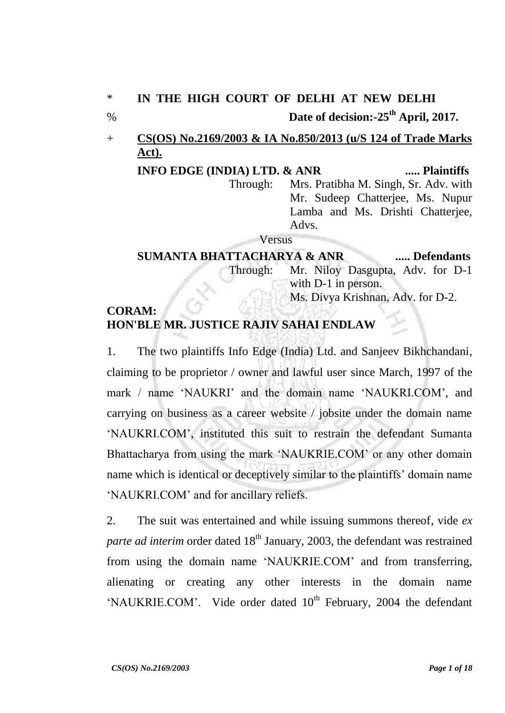## \* **IN THE HIGH COURT OF DELHI AT NEW DELHI**

### % **Date of decision:-25th April, 2017.**

## + **CS(OS) No.2169/2003 & IA No.850/2013 (u/S 124 of Trade Marks Act).**

**INFO EDGE (INDIA) LTD. & ANR ..... Plaintiffs** Through: Mrs. Pratibha M. Singh, Sr. Adv. with Mr. Sudeep Chatterjee, Ms. Nupur Lamba and Ms. Drishti Chatterjee, Advs.

#### Versus

### **SUMANTA BHATTACHARYA & ANR ..... Defendants** Through: Mr. Niloy Dasgupta, Adv. for D-1 with D-1 in person. Ms. Divya Krishnan, Adv. for D-2.

### **CORAM: HON'BLE MR. JUSTICE RAJIV SAHAI ENDLAW**

1. The two plaintiffs Info Edge (India) Ltd. and Sanjeev Bikhchandani, claiming to be proprietor / owner and lawful user since March, 1997 of the mark / name 'NAUKRI' and the domain name 'NAUKRI.COM', and carrying on business as a career website / jobsite under the domain name "NAUKRI.COM", instituted this suit to restrain the defendant Sumanta Bhattacharya from using the mark "NAUKRIE.COM" or any other domain name which is identical or deceptively similar to the plaintiffs" domain name "NAUKRI.COM" and for ancillary reliefs.

2. The suit was entertained and while issuing summons thereof, vide *ex parte ad interim* order dated 18<sup>th</sup> January, 2003, the defendant was restrained from using the domain name "NAUKRIE.COM" and from transferring, alienating or creating any other interests in the domain name 'NAUKRIE.COM'. Vide order dated  $10<sup>th</sup>$  February, 2004 the defendant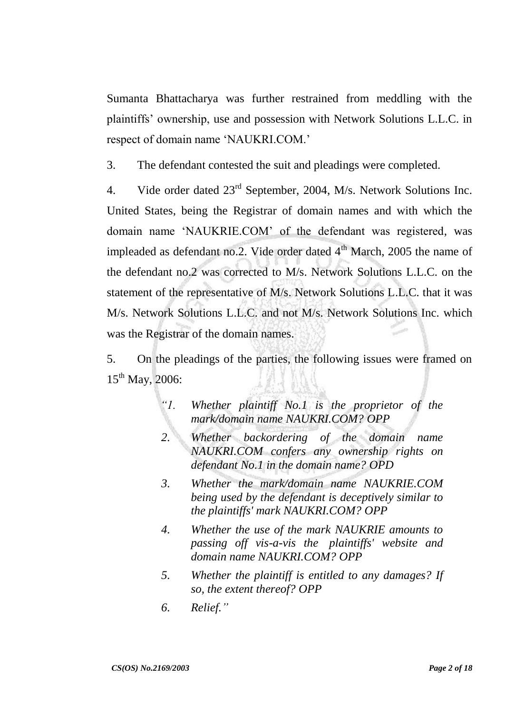Sumanta Bhattacharya was further restrained from meddling with the plaintiffs" ownership, use and possession with Network Solutions L.L.C. in respect of domain name "NAUKRI.COM."

3. The defendant contested the suit and pleadings were completed.

4. Vide order dated  $23<sup>rd</sup>$  September, 2004, M/s. Network Solutions Inc. United States, being the Registrar of domain names and with which the domain name "NAUKRIE.COM" of the defendant was registered, was impleaded as defendant no.2. Vide order dated  $4<sup>th</sup>$  March, 2005 the name of the defendant no.2 was corrected to M/s. Network Solutions L.L.C. on the statement of the representative of M/s. Network Solutions L.L.C. that it was M/s. Network Solutions L.L.C. and not M/s. Network Solutions Inc. which was the Registrar of the domain names.

5. On the pleadings of the parties, the following issues were framed on 15<sup>th</sup> May, 2006:

- *"1. Whether plaintiff No.1 is the proprietor of the mark/domain name NAUKRI.COM? OPP*
- *2. Whether backordering of the domain name NAUKRI.COM confers any ownership rights on defendant No.1 in the domain name? OPD*
- *3. Whether the mark/domain name NAUKRIE.COM being used by the defendant is deceptively similar to the plaintiffs' mark NAUKRI.COM? OPP*
- *4. Whether the use of the mark NAUKRIE amounts to passing off vis-a-vis the plaintiffs' website and domain name NAUKRI.COM? OPP*
- *5. Whether the plaintiff is entitled to any damages? If so, the extent thereof? OPP*
- *6. Relief."*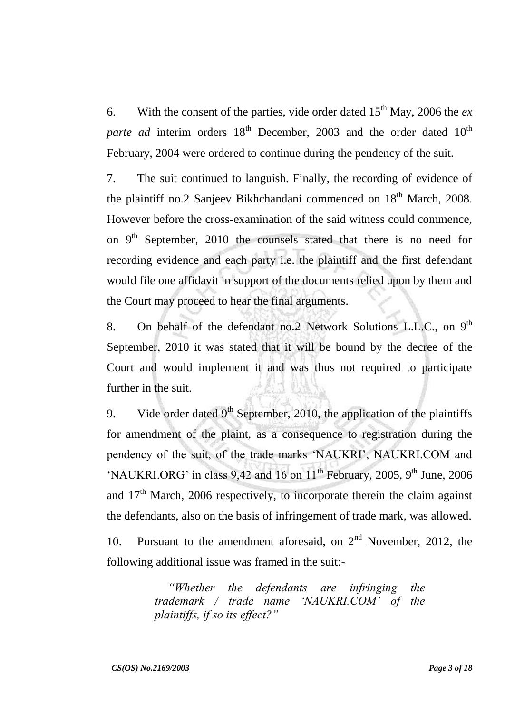6. With the consent of the parties, vide order dated  $15<sup>th</sup>$  May, 2006 the *ex parte ad* interim orders 18<sup>th</sup> December, 2003 and the order dated 10<sup>th</sup> February, 2004 were ordered to continue during the pendency of the suit.

7. The suit continued to languish. Finally, the recording of evidence of the plaintiff no.2 Sanjeev Bikhchandani commenced on  $18<sup>th</sup>$  March, 2008. However before the cross-examination of the said witness could commence, on  $9<sup>th</sup>$  September, 2010 the counsels stated that there is no need for recording evidence and each party i.e. the plaintiff and the first defendant would file one affidavit in support of the documents relied upon by them and the Court may proceed to hear the final arguments.

8. On behalf of the defendant no.2 Network Solutions L.L.C., on  $9<sup>th</sup>$ September, 2010 it was stated that it will be bound by the decree of the Court and would implement it and was thus not required to participate further in the suit.

9. Vide order dated  $9<sup>th</sup>$  September, 2010, the application of the plaintiffs for amendment of the plaint, as a consequence to registration during the pendency of the suit, of the trade marks 'NAUKRI', NAUKRI.COM and 'NAUKRI.ORG' in class 9,42 and 16 on  $11<sup>th</sup>$  February, 2005, 9<sup>th</sup> June, 2006 and  $17<sup>th</sup>$  March, 2006 respectively, to incorporate therein the claim against the defendants, also on the basis of infringement of trade mark, was allowed.

10. Pursuant to the amendment aforesaid, on  $2<sup>nd</sup>$  November, 2012, the following additional issue was framed in the suit:-

> *"Whether the defendants are infringing the trademark / trade name "NAUKRI.COM" of the plaintiffs, if so its effect?"*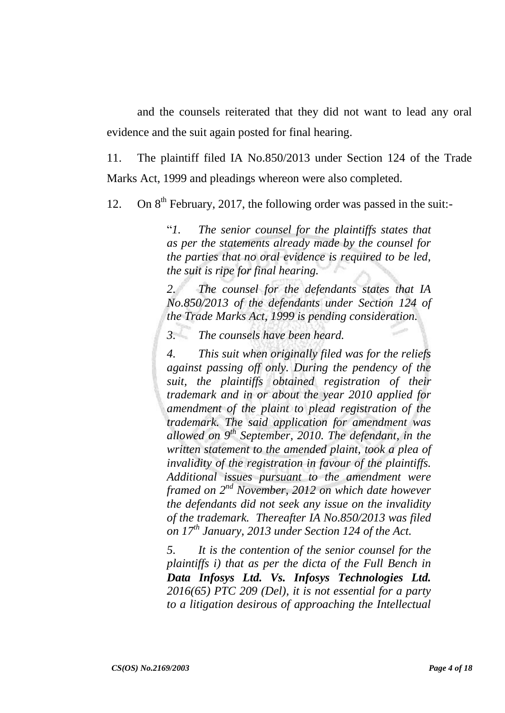and the counsels reiterated that they did not want to lead any oral evidence and the suit again posted for final hearing.

11. The plaintiff filed IA No.850/2013 under Section 124 of the Trade Marks Act, 1999 and pleadings whereon were also completed.

12. On  $8<sup>th</sup>$  February, 2017, the following order was passed in the suit:-

"*1. The senior counsel for the plaintiffs states that as per the statements already made by the counsel for the parties that no oral evidence is required to be led, the suit is ripe for final hearing.* 

*2. The counsel for the defendants states that IA No.850/2013 of the defendants under Section 124 of the Trade Marks Act, 1999 is pending consideration.* 

*3. The counsels have been heard.* 

*4. This suit when originally filed was for the reliefs against passing off only. During the pendency of the suit, the plaintiffs obtained registration of their trademark and in or about the year 2010 applied for amendment of the plaint to plead registration of the trademark. The said application for amendment was allowed on 9th September, 2010. The defendant, in the written statement to the amended plaint, took a plea of invalidity of the registration in favour of the plaintiffs. Additional issues pursuant to the amendment were framed on 2nd November, 2012 on which date however the defendants did not seek any issue on the invalidity of the trademark. Thereafter IA No.850/2013 was filed on 17th January, 2013 under Section 124 of the Act.* 

*5. It is the contention of the senior counsel for the plaintiffs i) that as per the dicta of the Full Bench in Data Infosys Ltd. Vs. Infosys Technologies Ltd. 2016(65) PTC 209 (Del), it is not essential for a party to a litigation desirous of approaching the Intellectual*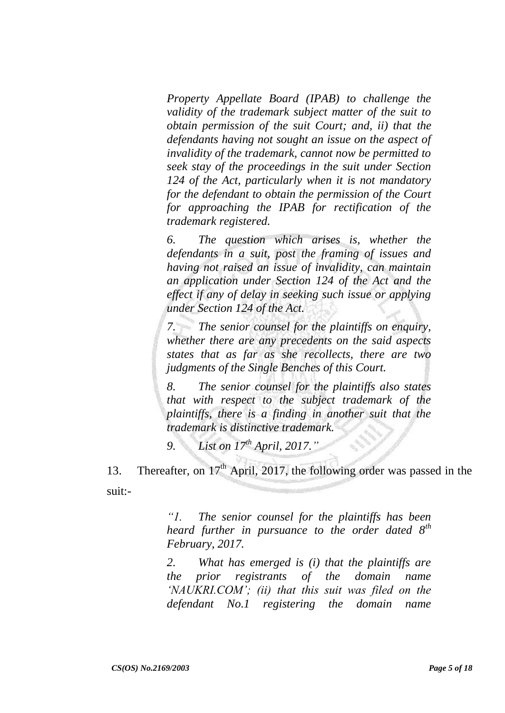*Property Appellate Board (IPAB) to challenge the validity of the trademark subject matter of the suit to obtain permission of the suit Court; and, ii) that the defendants having not sought an issue on the aspect of invalidity of the trademark, cannot now be permitted to seek stay of the proceedings in the suit under Section 124 of the Act, particularly when it is not mandatory for the defendant to obtain the permission of the Court for approaching the IPAB for rectification of the trademark registered.*

*6. The question which arises is, whether the defendants in a suit, post the framing of issues and having not raised an issue of invalidity, can maintain an application under Section 124 of the Act and the effect if any of delay in seeking such issue or applying under Section 124 of the Act.* 

*7. The senior counsel for the plaintiffs on enquiry, whether there are any precedents on the said aspects states that as far as she recollects, there are two judgments of the Single Benches of this Court.* 

*8. The senior counsel for the plaintiffs also states that with respect to the subject trademark of the plaintiffs, there is a finding in another suit that the trademark is distinctive trademark.* 

*9. List on 17th April, 2017."* 

13. Thereafter, on 17<sup>th</sup> April, 2017, the following order was passed in the suit:-

> *"1. The senior counsel for the plaintiffs has been heard further in pursuance to the order dated 8th February, 2017.*

> *2. What has emerged is (i) that the plaintiffs are the prior registrants of the domain name "NAUKRI.COM"; (ii) that this suit was filed on the defendant No.1 registering the domain name*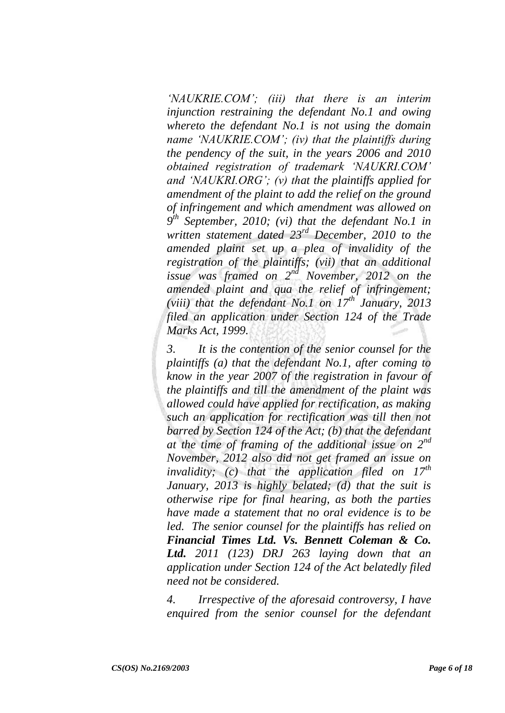*"NAUKRIE.COM"; (iii) that there is an interim injunction restraining the defendant No.1 and owing whereto the defendant No.1 is not using the domain name "NAUKRIE.COM"; (iv) that the plaintiffs during the pendency of the suit, in the years 2006 and 2010 obtained registration of trademark "NAUKRI.COM" and "NAUKRI.ORG"; (v) that the plaintiffs applied for amendment of the plaint to add the relief on the ground of infringement and which amendment was allowed on 9 th September, 2010; (vi) that the defendant No.1 in written statement dated 23rd December, 2010 to the amended plaint set up a plea of invalidity of the registration of the plaintiffs; (vii) that an additional issue was framed on 2nd November, 2012 on the amended plaint and qua the relief of infringement; (viii) that the defendant No.1 on 17th January, 2013 filed an application under Section 124 of the Trade Marks Act, 1999.*

*3. It is the contention of the senior counsel for the plaintiffs (a) that the defendant No.1, after coming to know in the year 2007 of the registration in favour of the plaintiffs and till the amendment of the plaint was allowed could have applied for rectification, as making such an application for rectification was till then not barred by Section 124 of the Act; (b) that the defendant at the time of framing of the additional issue on 2nd November, 2012 also did not get framed an issue on invalidity; (c) that the application filed on 17th January, 2013 is highly belated; (d) that the suit is otherwise ripe for final hearing, as both the parties have made a statement that no oral evidence is to be led. The senior counsel for the plaintiffs has relied on Financial Times Ltd. Vs. Bennett Coleman & Co. Ltd. 2011 (123) DRJ 263 laying down that an application under Section 124 of the Act belatedly filed need not be considered.*

*4. Irrespective of the aforesaid controversy, I have enquired from the senior counsel for the defendant*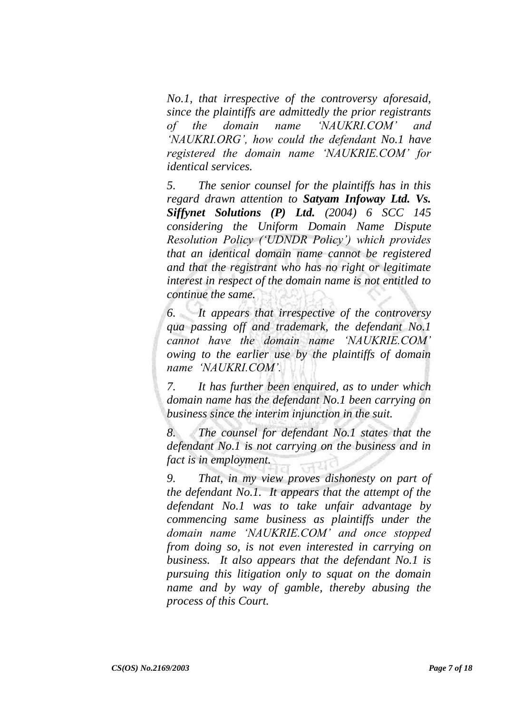*No.1, that irrespective of the controversy aforesaid, since the plaintiffs are admittedly the prior registrants of the domain name "NAUKRI.COM" and "NAUKRI.ORG", how could the defendant No.1 have registered the domain name "NAUKRIE.COM" for identical services.*

*5. The senior counsel for the plaintiffs has in this regard drawn attention to Satyam Infoway Ltd. Vs. Siffynet Solutions (P) Ltd. (2004) 6 SCC 145 considering the Uniform Domain Name Dispute Resolution Policy ("UDNDR Policy") which provides that an identical domain name cannot be registered and that the registrant who has no right or legitimate interest in respect of the domain name is not entitled to continue the same.*

*6. It appears that irrespective of the controversy qua passing off and trademark, the defendant No.1 cannot have the domain name "NAUKRIE.COM" owing to the earlier use by the plaintiffs of domain name "NAUKRI.COM".*

*7. It has further been enquired, as to under which domain name has the defendant No.1 been carrying on business since the interim injunction in the suit.*

*8. The counsel for defendant No.1 states that the defendant No.1 is not carrying on the business and in fact is in employment.*

*9. That, in my view proves dishonesty on part of the defendant No.1. It appears that the attempt of the defendant No.1 was to take unfair advantage by commencing same business as plaintiffs under the domain name "NAUKRIE.COM" and once stopped from doing so, is not even interested in carrying on business. It also appears that the defendant No.1 is pursuing this litigation only to squat on the domain name and by way of gamble, thereby abusing the process of this Court.*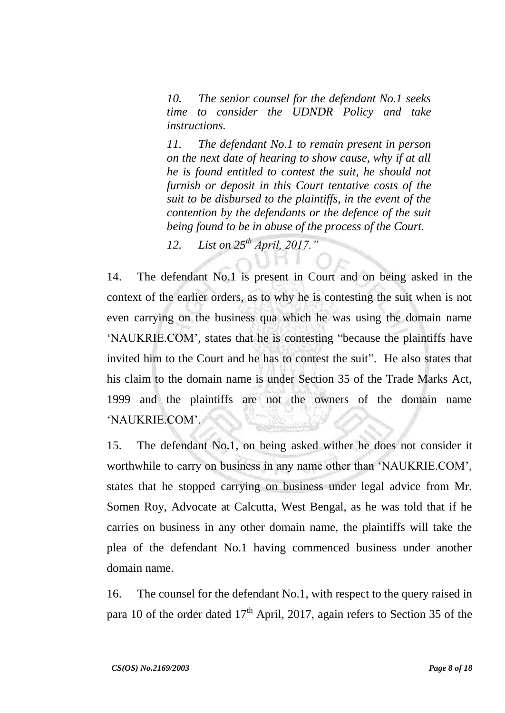*10. The senior counsel for the defendant No.1 seeks time to consider the UDNDR Policy and take instructions.*

*11. The defendant No.1 to remain present in person on the next date of hearing to show cause, why if at all he is found entitled to contest the suit, he should not furnish or deposit in this Court tentative costs of the suit to be disbursed to the plaintiffs, in the event of the contention by the defendants or the defence of the suit being found to be in abuse of the process of the Court.*

*12. List on 25th April, 2017."*

14. The defendant No.1 is present in Court and on being asked in the context of the earlier orders, as to why he is contesting the suit when is not even carrying on the business qua which he was using the domain name "NAUKRIE.COM", states that he is contesting "because the plaintiffs have invited him to the Court and he has to contest the suit". He also states that his claim to the domain name is under Section 35 of the Trade Marks Act, 1999 and the plaintiffs are not the owners of the domain name "NAUKRIE.COM".

15. The defendant No.1, on being asked wither he does not consider it worthwhile to carry on business in any name other than "NAUKRIE.COM", states that he stopped carrying on business under legal advice from Mr. Somen Roy, Advocate at Calcutta, West Bengal, as he was told that if he carries on business in any other domain name, the plaintiffs will take the plea of the defendant No.1 having commenced business under another domain name.

16. The counsel for the defendant No.1, with respect to the query raised in para 10 of the order dated  $17<sup>th</sup>$  April, 2017, again refers to Section 35 of the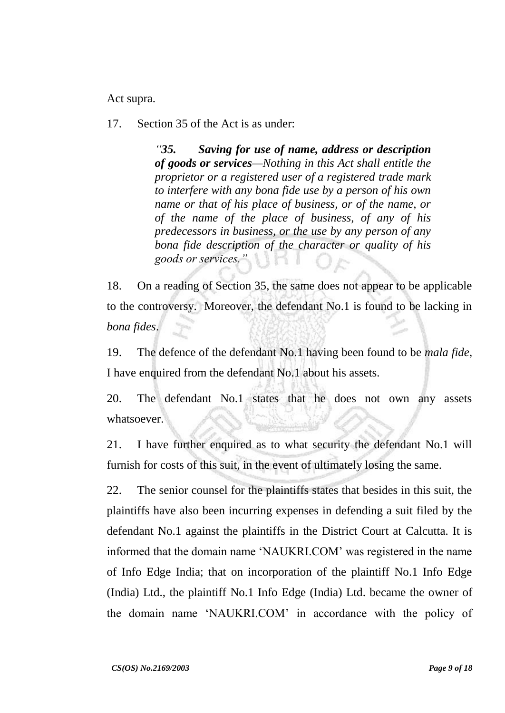Act supra.

17. Section 35 of the Act is as under:

*"35. Saving for use of name, address or description of goods or services—Nothing in this Act shall entitle the proprietor or a registered user of a registered trade mark to interfere with any bona fide use by a person of his own name or that of his place of business, or of the name, or of the name of the place of business, of any of his predecessors in business, or the use by any person of any bona fide description of the character or quality of his goods or services."*

18. On a reading of Section 35, the same does not appear to be applicable to the controversy. Moreover, the defendant No.1 is found to be lacking in *bona fides*.

19. The defence of the defendant No.1 having been found to be *mala fide*, I have enquired from the defendant No.1 about his assets.

20. The defendant No.1 states that he does not own any assets whatsoever.

21. I have further enquired as to what security the defendant No.1 will furnish for costs of this suit, in the event of ultimately losing the same.

22. The senior counsel for the plaintiffs states that besides in this suit, the plaintiffs have also been incurring expenses in defending a suit filed by the defendant No.1 against the plaintiffs in the District Court at Calcutta. It is informed that the domain name "NAUKRI.COM" was registered in the name of Info Edge India; that on incorporation of the plaintiff No.1 Info Edge (India) Ltd., the plaintiff No.1 Info Edge (India) Ltd. became the owner of the domain name "NAUKRI.COM" in accordance with the policy of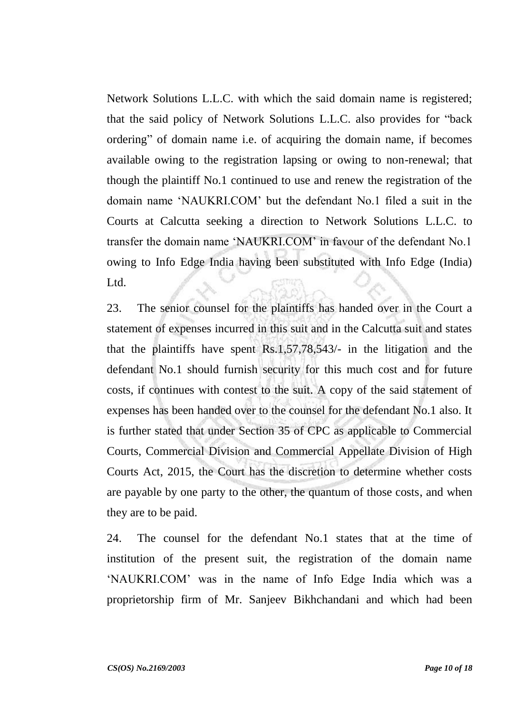Network Solutions L.L.C. with which the said domain name is registered; that the said policy of Network Solutions L.L.C. also provides for "back ordering" of domain name i.e. of acquiring the domain name, if becomes available owing to the registration lapsing or owing to non-renewal; that though the plaintiff No.1 continued to use and renew the registration of the domain name "NAUKRI.COM" but the defendant No.1 filed a suit in the Courts at Calcutta seeking a direction to Network Solutions L.L.C. to transfer the domain name "NAUKRI.COM" in favour of the defendant No.1 owing to Info Edge India having been substituted with Info Edge (India) Ltd.

23. The senior counsel for the plaintiffs has handed over in the Court a statement of expenses incurred in this suit and in the Calcutta suit and states that the plaintiffs have spent Rs.1,57,78,543/- in the litigation and the defendant No.1 should furnish security for this much cost and for future costs, if continues with contest to the suit. A copy of the said statement of expenses has been handed over to the counsel for the defendant No.1 also. It is further stated that under Section 35 of CPC as applicable to Commercial Courts, Commercial Division and Commercial Appellate Division of High Courts Act, 2015, the Court has the discretion to determine whether costs are payable by one party to the other, the quantum of those costs, and when they are to be paid.

24. The counsel for the defendant No.1 states that at the time of institution of the present suit, the registration of the domain name "NAUKRI.COM" was in the name of Info Edge India which was a proprietorship firm of Mr. Sanjeev Bikhchandani and which had been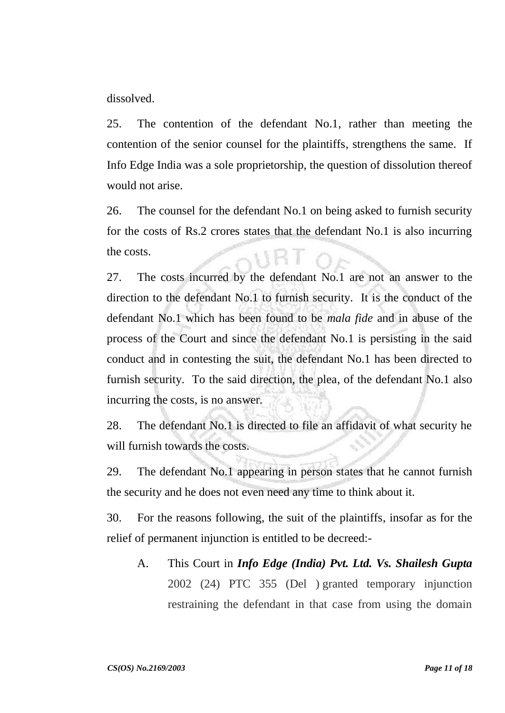dissolved.

25. The contention of the defendant No.1, rather than meeting the contention of the senior counsel for the plaintiffs, strengthens the same. If Info Edge India was a sole proprietorship, the question of dissolution thereof would not arise.

26. The counsel for the defendant No.1 on being asked to furnish security for the costs of Rs.2 crores states that the defendant No.1 is also incurring the costs.

27. The costs incurred by the defendant No.1 are not an answer to the direction to the defendant No.1 to furnish security. It is the conduct of the defendant No.1 which has been found to be *mala fide* and in abuse of the process of the Court and since the defendant No.1 is persisting in the said conduct and in contesting the suit, the defendant No.1 has been directed to furnish security. To the said direction, the plea, of the defendant No.1 also incurring the costs, is no answer.

28. The defendant No.1 is directed to file an affidavit of what security he will furnish towards the costs.

29. The defendant No.1 appearing in person states that he cannot furnish the security and he does not even need any time to think about it.

30. For the reasons following, the suit of the plaintiffs, insofar as for the relief of permanent injunction is entitled to be decreed:-

A. This Court in *Info Edge (India) Pvt. Ltd. Vs. Shailesh Gupta* 2002 (24) PTC 355 (Del ) granted temporary injunction restraining the defendant in that case from using the domain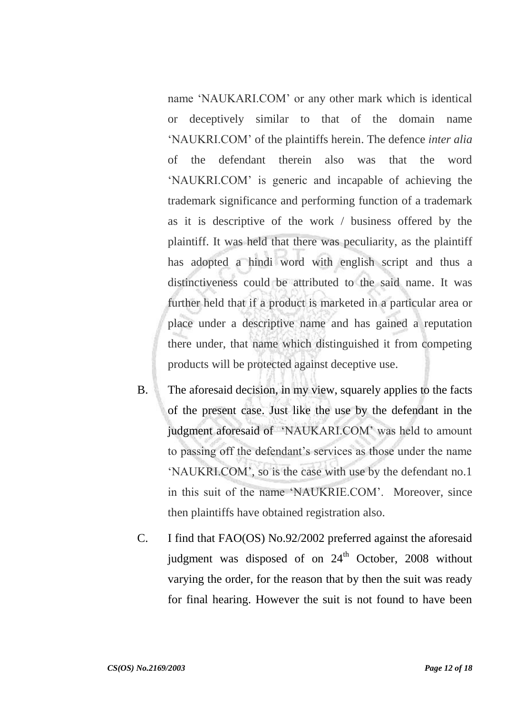name "NAUKARI.COM" or any other mark which is identical or deceptively similar to that of the domain name "NAUKRI.COM" of the plaintiffs herein. The defence *inter alia*  of the defendant therein also was that the word "NAUKRI.COM" is generic and incapable of achieving the trademark significance and performing function of a trademark as it is descriptive of the work / business offered by the plaintiff. It was held that there was peculiarity, as the plaintiff has adopted a hindi word with english script and thus a distinctiveness could be attributed to the said name. It was further held that if a product is marketed in a particular area or place under a descriptive name and has gained a reputation there under, that name which distinguished it from competing products will be protected against deceptive use.

- B. The aforesaid decision, in my view, squarely applies to the facts of the present case. Just like the use by the defendant in the judgment aforesaid of "NAUKARI.COM" was held to amount to passing off the defendant"s services as those under the name "NAUKRI.COM", so is the case with use by the defendant no.1 in this suit of the name "NAUKRIE.COM". Moreover, since then plaintiffs have obtained registration also.
- C. I find that FAO(OS) No.92/2002 preferred against the aforesaid judgment was disposed of on 24<sup>th</sup> October, 2008 without varying the order, for the reason that by then the suit was ready for final hearing. However the suit is not found to have been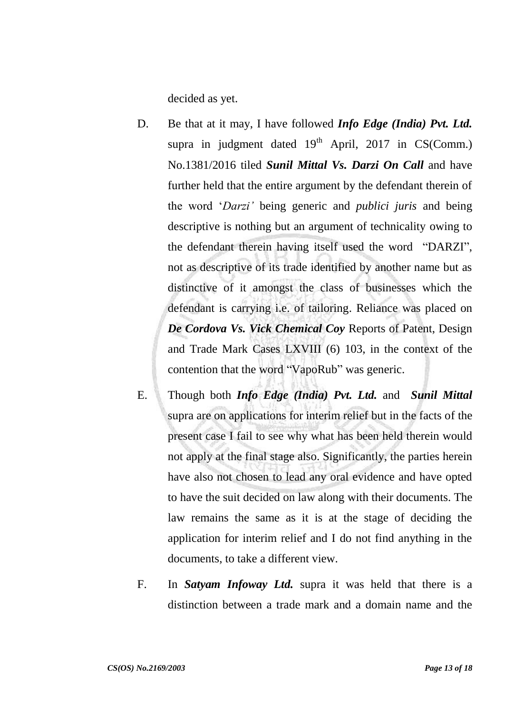decided as yet.

- D. Be that at it may, I have followed *Info Edge (India) Pvt. Ltd.* supra in judgment dated  $19<sup>th</sup>$  April, 2017 in CS(Comm.) No.1381/2016 tiled *Sunil Mittal Vs. Darzi On Call* and have further held that the entire argument by the defendant therein of the word "*Darzi"* being generic and *publici juris* and being descriptive is nothing but an argument of technicality owing to the defendant therein having itself used the word "DARZI", not as descriptive of its trade identified by another name but as distinctive of it amongst the class of businesses which the defendant is carrying i.e. of tailoring. Reliance was placed on *De Cordova Vs. Vick Chemical Coy* Reports of Patent, Design and Trade Mark Cases LXVIII (6) 103, in the context of the contention that the word "VapoRub" was generic.
- E. Though both *Info Edge (India) Pvt. Ltd.* and *Sunil Mittal* supra are on applications for interim relief but in the facts of the present case I fail to see why what has been held therein would not apply at the final stage also. Significantly, the parties herein have also not chosen to lead any oral evidence and have opted to have the suit decided on law along with their documents. The law remains the same as it is at the stage of deciding the application for interim relief and I do not find anything in the documents, to take a different view.
- F. In *Satyam Infoway Ltd.* supra it was held that there is a distinction between a trade mark and a domain name and the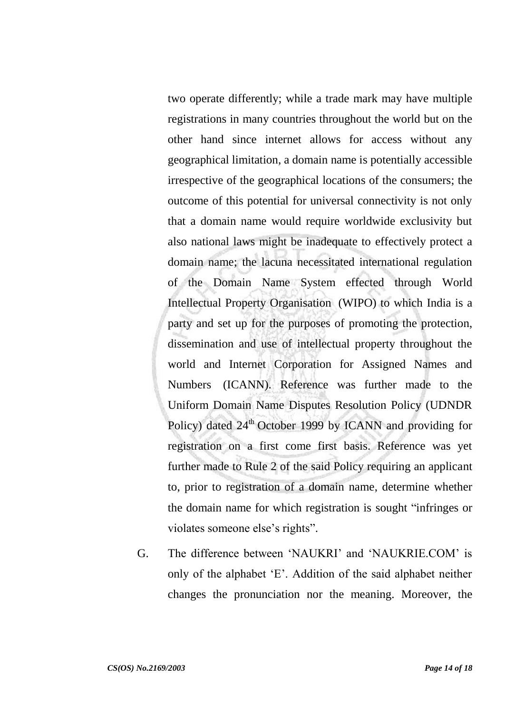two operate differently; while a trade mark may have multiple registrations in many countries throughout the world but on the other hand since internet allows for access without any geographical limitation, a domain name is potentially accessible irrespective of the geographical locations of the consumers; the outcome of this potential for universal connectivity is not only that a domain name would require worldwide exclusivity but also national laws might be inadequate to effectively protect a domain name; the lacuna necessitated international regulation of the Domain Name System effected through World Intellectual Property Organisation (WIPO) to which India is a party and set up for the purposes of promoting the protection, dissemination and use of intellectual property throughout the world and Internet Corporation for Assigned Names and Numbers (ICANN). Reference was further made to the Uniform Domain Name Disputes Resolution Policy (UDNDR Policy) dated  $24<sup>th</sup>$  October 1999 by ICANN and providing for registration on a first come first basis. Reference was yet further made to Rule 2 of the said Policy requiring an applicant to, prior to registration of a domain name, determine whether the domain name for which registration is sought "infringes or violates someone else's rights".

G. The difference between "NAUKRI" and "NAUKRIE.COM" is only of the alphabet "E". Addition of the said alphabet neither changes the pronunciation nor the meaning. Moreover, the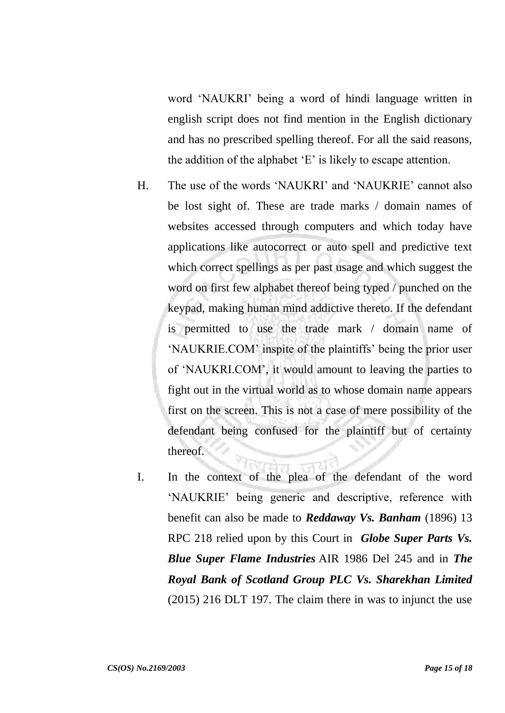word "NAUKRI" being a word of hindi language written in english script does not find mention in the English dictionary and has no prescribed spelling thereof. For all the said reasons, the addition of the alphabet "E" is likely to escape attention.

- H. The use of the words "NAUKRI" and "NAUKRIE" cannot also be lost sight of. These are trade marks / domain names of websites accessed through computers and which today have applications like autocorrect or auto spell and predictive text which correct spellings as per past usage and which suggest the word on first few alphabet thereof being typed / punched on the keypad, making human mind addictive thereto. If the defendant is permitted to use the trade mark / domain name of "NAUKRIE.COM" inspite of the plaintiffs" being the prior user of "NAUKRI.COM", it would amount to leaving the parties to fight out in the virtual world as to whose domain name appears first on the screen. This is not a case of mere possibility of the defendant being confused for the plaintiff but of certainty thereof.
- I. In the context of the plea of the defendant of the word "NAUKRIE" being generic and descriptive, reference with benefit can also be made to *Reddaway Vs. Banham* (1896) 13 RPC 218 relied upon by this Court in *Globe Super Parts Vs. Blue Super Flame Industries* AIR 1986 Del 245 and in *The Royal Bank of Scotland Group PLC Vs. Sharekhan Limited* (2015) 216 DLT 197. The claim there in was to injunct the use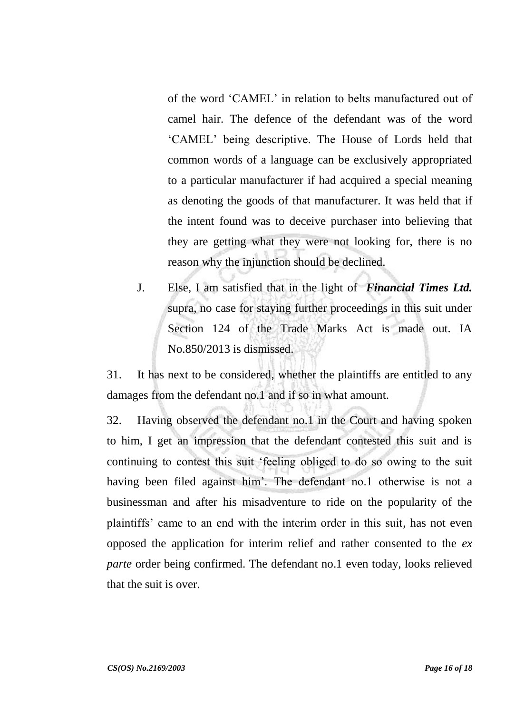of the word "CAMEL" in relation to belts manufactured out of camel hair. The defence of the defendant was of the word "CAMEL" being descriptive. The House of Lords held that common words of a language can be exclusively appropriated to a particular manufacturer if had acquired a special meaning as denoting the goods of that manufacturer. It was held that if the intent found was to deceive purchaser into believing that they are getting what they were not looking for, there is no reason why the injunction should be declined.

J. Else, I am satisfied that in the light of *Financial Times Ltd.* supra, no case for staying further proceedings in this suit under Section 124 of the Trade Marks Act is made out. IA No.850/2013 is dismissed.

31. It has next to be considered, whether the plaintiffs are entitled to any damages from the defendant no.1 and if so in what amount.

32. Having observed the defendant no.1 in the Court and having spoken to him, I get an impression that the defendant contested this suit and is continuing to contest this suit "feeling obliged to do so owing to the suit having been filed against him'. The defendant no.1 otherwise is not a businessman and after his misadventure to ride on the popularity of the plaintiffs" came to an end with the interim order in this suit, has not even opposed the application for interim relief and rather consented to the *ex parte* order being confirmed. The defendant no.1 even today, looks relieved that the suit is over.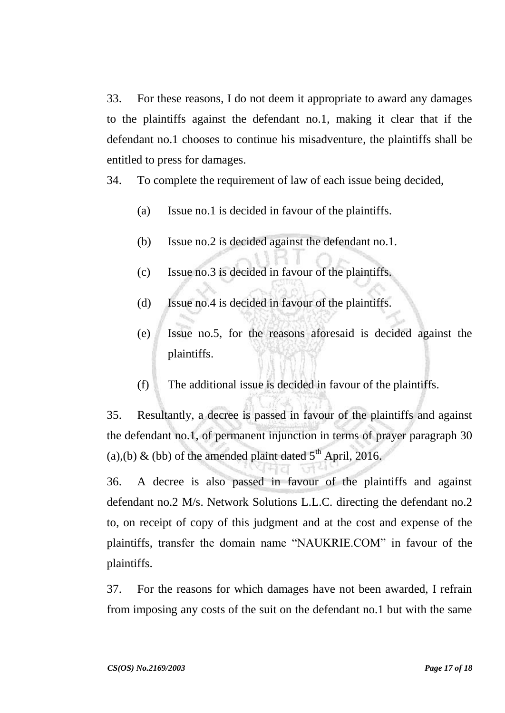33. For these reasons, I do not deem it appropriate to award any damages to the plaintiffs against the defendant no.1, making it clear that if the defendant no.1 chooses to continue his misadventure, the plaintiffs shall be entitled to press for damages.

34. To complete the requirement of law of each issue being decided,

- (a) Issue no.1 is decided in favour of the plaintiffs.
- (b) Issue no.2 is decided against the defendant no.1.
- (c) Issue no.3 is decided in favour of the plaintiffs.
- (d) Issue no.4 is decided in favour of the plaintiffs.
- (e) Issue no.5, for the reasons aforesaid is decided against the plaintiffs.
- (f) The additional issue is decided in favour of the plaintiffs.

35. Resultantly, a decree is passed in favour of the plaintiffs and against the defendant no.1, of permanent injunction in terms of prayer paragraph 30 (a),(b) & (bb) of the amended plaint dated  $5<sup>th</sup>$  April, 2016.

36. A decree is also passed in favour of the plaintiffs and against defendant no.2 M/s. Network Solutions L.L.C. directing the defendant no.2 to, on receipt of copy of this judgment and at the cost and expense of the plaintiffs, transfer the domain name "NAUKRIE.COM" in favour of the plaintiffs.

37. For the reasons for which damages have not been awarded, I refrain from imposing any costs of the suit on the defendant no.1 but with the same